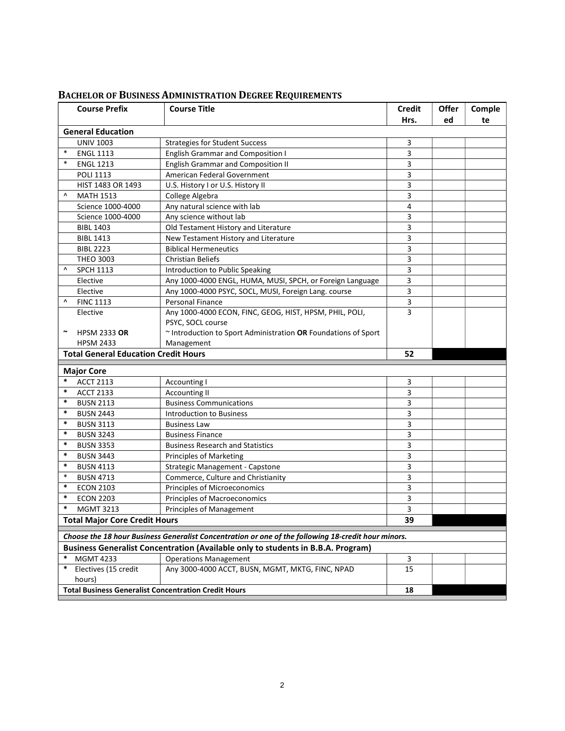| Hrs.<br>ed<br>te<br><b>General Education</b><br><b>UNIV 1003</b><br><b>Strategies for Student Success</b><br>3<br>$\ast$<br><b>English Grammar and Composition I</b><br>3<br><b>ENGL 1113</b><br>$\ast$<br>3<br><b>ENGL 1213</b><br><b>English Grammar and Composition II</b><br>American Federal Government<br>3<br><b>POLI 1113</b><br>3<br>HIST 1483 OR 1493<br>U.S. History I or U.S. History II<br>3<br>Λ<br><b>MATH 1513</b><br>College Algebra<br>Any natural science with lab<br>Science 1000-4000<br>4<br>Any science without lab<br>Science 1000-4000<br>3<br>Old Testament History and Literature<br>3<br><b>BIBL 1403</b><br>New Testament History and Literature<br>3<br><b>BIBL 1413</b><br>3<br><b>Biblical Hermeneutics</b><br><b>BIBL 2223</b><br>3<br><b>THEO 3003</b><br><b>Christian Beliefs</b><br>3<br>Λ<br><b>SPCH 1113</b><br>Introduction to Public Speaking<br>3<br>Any 1000-4000 ENGL, HUMA, MUSI, SPCH, or Foreign Language<br>Elective<br>3<br>Any 1000-4000 PSYC, SOCL, MUSI, Foreign Lang. course<br>Elective<br>3<br>Λ<br><b>FINC 1113</b><br>Personal Finance<br>3<br>Any 1000-4000 ECON, FINC, GEOG, HIST, HPSM, PHIL, POLI,<br>Elective<br>PSYC, SOCL course<br>~ Introduction to Sport Administration OR Foundations of Sport<br>$\tilde{\phantom{a}}$<br><b>HPSM 2333 OR</b><br><b>HPSM 2433</b><br>Management<br><b>Total General Education Credit Hours</b><br>52<br><b>Major Core</b><br>$\ast$<br><b>ACCT 2113</b><br><b>Accounting I</b><br>3<br>$\ast$<br>3<br><b>ACCT 2133</b><br><b>Accounting II</b><br>$\ast$<br><b>BUSN 2113</b><br><b>Business Communications</b><br>3<br>$\ast$<br>3<br><b>BUSN 2443</b><br><b>Introduction to Business</b><br>$\ast$<br>3<br><b>BUSN 3113</b><br><b>Business Law</b><br>$\ast$<br>3<br><b>BUSN 3243</b><br><b>Business Finance</b><br>$\ast$<br>3<br><b>BUSN 3353</b><br><b>Business Research and Statistics</b><br>$\ast$<br>3<br><b>Principles of Marketing</b><br><b>BUSN 3443</b><br>$\ast$<br><b>BUSN 4113</b><br>Strategic Management - Capstone<br>3<br>$\ast$<br>Commerce, Culture and Christianity<br><b>BUSN 4713</b><br>3<br>$\ast$<br><b>ECON 2103</b><br>Principles of Microeconomics<br>3<br>$\ast$<br><b>ECON 2203</b><br>Principles of Macroeconomics<br>3<br>$\ast$<br>3<br><b>MGMT 3213</b><br><b>Principles of Management</b><br><b>Total Major Core Credit Hours</b><br>39<br>Choose the 18 hour Business Generalist Concentration or one of the following 18-credit hour minors.<br>Business Generalist Concentration (Available only to students in B.B.A. Program)<br>*<br><b>MGMT 4233</b><br>3<br><b>Operations Management</b><br>$\ast$<br>Electives (15 credit<br>Any 3000-4000 ACCT, BUSN, MGMT, MKTG, FINC, NPAD<br>15<br>hours)<br><b>Total Business Generalist Concentration Credit Hours</b><br>18 |  | <b>Course Prefix</b> | <b>Course Title</b> | <b>Credit</b> | Offer | Comple |  |
|-----------------------------------------------------------------------------------------------------------------------------------------------------------------------------------------------------------------------------------------------------------------------------------------------------------------------------------------------------------------------------------------------------------------------------------------------------------------------------------------------------------------------------------------------------------------------------------------------------------------------------------------------------------------------------------------------------------------------------------------------------------------------------------------------------------------------------------------------------------------------------------------------------------------------------------------------------------------------------------------------------------------------------------------------------------------------------------------------------------------------------------------------------------------------------------------------------------------------------------------------------------------------------------------------------------------------------------------------------------------------------------------------------------------------------------------------------------------------------------------------------------------------------------------------------------------------------------------------------------------------------------------------------------------------------------------------------------------------------------------------------------------------------------------------------------------------------------------------------------------------------------------------------------------------------------------------------------------------------------------------------------------------------------------------------------------------------------------------------------------------------------------------------------------------------------------------------------------------------------------------------------------------------------------------------------------------------------------------------------------------------------------------------------------------------------------------------------------------------------------------------------------------------------------------------------------------------------------------------------------------------------------------------------------------------------------------------------------------------------------------------------------------------------------------------------------------|--|----------------------|---------------------|---------------|-------|--------|--|
|                                                                                                                                                                                                                                                                                                                                                                                                                                                                                                                                                                                                                                                                                                                                                                                                                                                                                                                                                                                                                                                                                                                                                                                                                                                                                                                                                                                                                                                                                                                                                                                                                                                                                                                                                                                                                                                                                                                                                                                                                                                                                                                                                                                                                                                                                                                                                                                                                                                                                                                                                                                                                                                                                                                                                                                                                       |  |                      |                     |               |       |        |  |
|                                                                                                                                                                                                                                                                                                                                                                                                                                                                                                                                                                                                                                                                                                                                                                                                                                                                                                                                                                                                                                                                                                                                                                                                                                                                                                                                                                                                                                                                                                                                                                                                                                                                                                                                                                                                                                                                                                                                                                                                                                                                                                                                                                                                                                                                                                                                                                                                                                                                                                                                                                                                                                                                                                                                                                                                                       |  |                      |                     |               |       |        |  |
|                                                                                                                                                                                                                                                                                                                                                                                                                                                                                                                                                                                                                                                                                                                                                                                                                                                                                                                                                                                                                                                                                                                                                                                                                                                                                                                                                                                                                                                                                                                                                                                                                                                                                                                                                                                                                                                                                                                                                                                                                                                                                                                                                                                                                                                                                                                                                                                                                                                                                                                                                                                                                                                                                                                                                                                                                       |  |                      |                     |               |       |        |  |
|                                                                                                                                                                                                                                                                                                                                                                                                                                                                                                                                                                                                                                                                                                                                                                                                                                                                                                                                                                                                                                                                                                                                                                                                                                                                                                                                                                                                                                                                                                                                                                                                                                                                                                                                                                                                                                                                                                                                                                                                                                                                                                                                                                                                                                                                                                                                                                                                                                                                                                                                                                                                                                                                                                                                                                                                                       |  |                      |                     |               |       |        |  |
|                                                                                                                                                                                                                                                                                                                                                                                                                                                                                                                                                                                                                                                                                                                                                                                                                                                                                                                                                                                                                                                                                                                                                                                                                                                                                                                                                                                                                                                                                                                                                                                                                                                                                                                                                                                                                                                                                                                                                                                                                                                                                                                                                                                                                                                                                                                                                                                                                                                                                                                                                                                                                                                                                                                                                                                                                       |  |                      |                     |               |       |        |  |
|                                                                                                                                                                                                                                                                                                                                                                                                                                                                                                                                                                                                                                                                                                                                                                                                                                                                                                                                                                                                                                                                                                                                                                                                                                                                                                                                                                                                                                                                                                                                                                                                                                                                                                                                                                                                                                                                                                                                                                                                                                                                                                                                                                                                                                                                                                                                                                                                                                                                                                                                                                                                                                                                                                                                                                                                                       |  |                      |                     |               |       |        |  |
|                                                                                                                                                                                                                                                                                                                                                                                                                                                                                                                                                                                                                                                                                                                                                                                                                                                                                                                                                                                                                                                                                                                                                                                                                                                                                                                                                                                                                                                                                                                                                                                                                                                                                                                                                                                                                                                                                                                                                                                                                                                                                                                                                                                                                                                                                                                                                                                                                                                                                                                                                                                                                                                                                                                                                                                                                       |  |                      |                     |               |       |        |  |
|                                                                                                                                                                                                                                                                                                                                                                                                                                                                                                                                                                                                                                                                                                                                                                                                                                                                                                                                                                                                                                                                                                                                                                                                                                                                                                                                                                                                                                                                                                                                                                                                                                                                                                                                                                                                                                                                                                                                                                                                                                                                                                                                                                                                                                                                                                                                                                                                                                                                                                                                                                                                                                                                                                                                                                                                                       |  |                      |                     |               |       |        |  |
|                                                                                                                                                                                                                                                                                                                                                                                                                                                                                                                                                                                                                                                                                                                                                                                                                                                                                                                                                                                                                                                                                                                                                                                                                                                                                                                                                                                                                                                                                                                                                                                                                                                                                                                                                                                                                                                                                                                                                                                                                                                                                                                                                                                                                                                                                                                                                                                                                                                                                                                                                                                                                                                                                                                                                                                                                       |  |                      |                     |               |       |        |  |
|                                                                                                                                                                                                                                                                                                                                                                                                                                                                                                                                                                                                                                                                                                                                                                                                                                                                                                                                                                                                                                                                                                                                                                                                                                                                                                                                                                                                                                                                                                                                                                                                                                                                                                                                                                                                                                                                                                                                                                                                                                                                                                                                                                                                                                                                                                                                                                                                                                                                                                                                                                                                                                                                                                                                                                                                                       |  |                      |                     |               |       |        |  |
|                                                                                                                                                                                                                                                                                                                                                                                                                                                                                                                                                                                                                                                                                                                                                                                                                                                                                                                                                                                                                                                                                                                                                                                                                                                                                                                                                                                                                                                                                                                                                                                                                                                                                                                                                                                                                                                                                                                                                                                                                                                                                                                                                                                                                                                                                                                                                                                                                                                                                                                                                                                                                                                                                                                                                                                                                       |  |                      |                     |               |       |        |  |
|                                                                                                                                                                                                                                                                                                                                                                                                                                                                                                                                                                                                                                                                                                                                                                                                                                                                                                                                                                                                                                                                                                                                                                                                                                                                                                                                                                                                                                                                                                                                                                                                                                                                                                                                                                                                                                                                                                                                                                                                                                                                                                                                                                                                                                                                                                                                                                                                                                                                                                                                                                                                                                                                                                                                                                                                                       |  |                      |                     |               |       |        |  |
|                                                                                                                                                                                                                                                                                                                                                                                                                                                                                                                                                                                                                                                                                                                                                                                                                                                                                                                                                                                                                                                                                                                                                                                                                                                                                                                                                                                                                                                                                                                                                                                                                                                                                                                                                                                                                                                                                                                                                                                                                                                                                                                                                                                                                                                                                                                                                                                                                                                                                                                                                                                                                                                                                                                                                                                                                       |  |                      |                     |               |       |        |  |
|                                                                                                                                                                                                                                                                                                                                                                                                                                                                                                                                                                                                                                                                                                                                                                                                                                                                                                                                                                                                                                                                                                                                                                                                                                                                                                                                                                                                                                                                                                                                                                                                                                                                                                                                                                                                                                                                                                                                                                                                                                                                                                                                                                                                                                                                                                                                                                                                                                                                                                                                                                                                                                                                                                                                                                                                                       |  |                      |                     |               |       |        |  |
|                                                                                                                                                                                                                                                                                                                                                                                                                                                                                                                                                                                                                                                                                                                                                                                                                                                                                                                                                                                                                                                                                                                                                                                                                                                                                                                                                                                                                                                                                                                                                                                                                                                                                                                                                                                                                                                                                                                                                                                                                                                                                                                                                                                                                                                                                                                                                                                                                                                                                                                                                                                                                                                                                                                                                                                                                       |  |                      |                     |               |       |        |  |
|                                                                                                                                                                                                                                                                                                                                                                                                                                                                                                                                                                                                                                                                                                                                                                                                                                                                                                                                                                                                                                                                                                                                                                                                                                                                                                                                                                                                                                                                                                                                                                                                                                                                                                                                                                                                                                                                                                                                                                                                                                                                                                                                                                                                                                                                                                                                                                                                                                                                                                                                                                                                                                                                                                                                                                                                                       |  |                      |                     |               |       |        |  |
|                                                                                                                                                                                                                                                                                                                                                                                                                                                                                                                                                                                                                                                                                                                                                                                                                                                                                                                                                                                                                                                                                                                                                                                                                                                                                                                                                                                                                                                                                                                                                                                                                                                                                                                                                                                                                                                                                                                                                                                                                                                                                                                                                                                                                                                                                                                                                                                                                                                                                                                                                                                                                                                                                                                                                                                                                       |  |                      |                     |               |       |        |  |
|                                                                                                                                                                                                                                                                                                                                                                                                                                                                                                                                                                                                                                                                                                                                                                                                                                                                                                                                                                                                                                                                                                                                                                                                                                                                                                                                                                                                                                                                                                                                                                                                                                                                                                                                                                                                                                                                                                                                                                                                                                                                                                                                                                                                                                                                                                                                                                                                                                                                                                                                                                                                                                                                                                                                                                                                                       |  |                      |                     |               |       |        |  |
|                                                                                                                                                                                                                                                                                                                                                                                                                                                                                                                                                                                                                                                                                                                                                                                                                                                                                                                                                                                                                                                                                                                                                                                                                                                                                                                                                                                                                                                                                                                                                                                                                                                                                                                                                                                                                                                                                                                                                                                                                                                                                                                                                                                                                                                                                                                                                                                                                                                                                                                                                                                                                                                                                                                                                                                                                       |  |                      |                     |               |       |        |  |
|                                                                                                                                                                                                                                                                                                                                                                                                                                                                                                                                                                                                                                                                                                                                                                                                                                                                                                                                                                                                                                                                                                                                                                                                                                                                                                                                                                                                                                                                                                                                                                                                                                                                                                                                                                                                                                                                                                                                                                                                                                                                                                                                                                                                                                                                                                                                                                                                                                                                                                                                                                                                                                                                                                                                                                                                                       |  |                      |                     |               |       |        |  |
|                                                                                                                                                                                                                                                                                                                                                                                                                                                                                                                                                                                                                                                                                                                                                                                                                                                                                                                                                                                                                                                                                                                                                                                                                                                                                                                                                                                                                                                                                                                                                                                                                                                                                                                                                                                                                                                                                                                                                                                                                                                                                                                                                                                                                                                                                                                                                                                                                                                                                                                                                                                                                                                                                                                                                                                                                       |  |                      |                     |               |       |        |  |
|                                                                                                                                                                                                                                                                                                                                                                                                                                                                                                                                                                                                                                                                                                                                                                                                                                                                                                                                                                                                                                                                                                                                                                                                                                                                                                                                                                                                                                                                                                                                                                                                                                                                                                                                                                                                                                                                                                                                                                                                                                                                                                                                                                                                                                                                                                                                                                                                                                                                                                                                                                                                                                                                                                                                                                                                                       |  |                      |                     |               |       |        |  |
|                                                                                                                                                                                                                                                                                                                                                                                                                                                                                                                                                                                                                                                                                                                                                                                                                                                                                                                                                                                                                                                                                                                                                                                                                                                                                                                                                                                                                                                                                                                                                                                                                                                                                                                                                                                                                                                                                                                                                                                                                                                                                                                                                                                                                                                                                                                                                                                                                                                                                                                                                                                                                                                                                                                                                                                                                       |  |                      |                     |               |       |        |  |
|                                                                                                                                                                                                                                                                                                                                                                                                                                                                                                                                                                                                                                                                                                                                                                                                                                                                                                                                                                                                                                                                                                                                                                                                                                                                                                                                                                                                                                                                                                                                                                                                                                                                                                                                                                                                                                                                                                                                                                                                                                                                                                                                                                                                                                                                                                                                                                                                                                                                                                                                                                                                                                                                                                                                                                                                                       |  |                      |                     |               |       |        |  |
|                                                                                                                                                                                                                                                                                                                                                                                                                                                                                                                                                                                                                                                                                                                                                                                                                                                                                                                                                                                                                                                                                                                                                                                                                                                                                                                                                                                                                                                                                                                                                                                                                                                                                                                                                                                                                                                                                                                                                                                                                                                                                                                                                                                                                                                                                                                                                                                                                                                                                                                                                                                                                                                                                                                                                                                                                       |  |                      |                     |               |       |        |  |
|                                                                                                                                                                                                                                                                                                                                                                                                                                                                                                                                                                                                                                                                                                                                                                                                                                                                                                                                                                                                                                                                                                                                                                                                                                                                                                                                                                                                                                                                                                                                                                                                                                                                                                                                                                                                                                                                                                                                                                                                                                                                                                                                                                                                                                                                                                                                                                                                                                                                                                                                                                                                                                                                                                                                                                                                                       |  |                      |                     |               |       |        |  |
|                                                                                                                                                                                                                                                                                                                                                                                                                                                                                                                                                                                                                                                                                                                                                                                                                                                                                                                                                                                                                                                                                                                                                                                                                                                                                                                                                                                                                                                                                                                                                                                                                                                                                                                                                                                                                                                                                                                                                                                                                                                                                                                                                                                                                                                                                                                                                                                                                                                                                                                                                                                                                                                                                                                                                                                                                       |  |                      |                     |               |       |        |  |
|                                                                                                                                                                                                                                                                                                                                                                                                                                                                                                                                                                                                                                                                                                                                                                                                                                                                                                                                                                                                                                                                                                                                                                                                                                                                                                                                                                                                                                                                                                                                                                                                                                                                                                                                                                                                                                                                                                                                                                                                                                                                                                                                                                                                                                                                                                                                                                                                                                                                                                                                                                                                                                                                                                                                                                                                                       |  |                      |                     |               |       |        |  |
|                                                                                                                                                                                                                                                                                                                                                                                                                                                                                                                                                                                                                                                                                                                                                                                                                                                                                                                                                                                                                                                                                                                                                                                                                                                                                                                                                                                                                                                                                                                                                                                                                                                                                                                                                                                                                                                                                                                                                                                                                                                                                                                                                                                                                                                                                                                                                                                                                                                                                                                                                                                                                                                                                                                                                                                                                       |  |                      |                     |               |       |        |  |
|                                                                                                                                                                                                                                                                                                                                                                                                                                                                                                                                                                                                                                                                                                                                                                                                                                                                                                                                                                                                                                                                                                                                                                                                                                                                                                                                                                                                                                                                                                                                                                                                                                                                                                                                                                                                                                                                                                                                                                                                                                                                                                                                                                                                                                                                                                                                                                                                                                                                                                                                                                                                                                                                                                                                                                                                                       |  |                      |                     |               |       |        |  |
|                                                                                                                                                                                                                                                                                                                                                                                                                                                                                                                                                                                                                                                                                                                                                                                                                                                                                                                                                                                                                                                                                                                                                                                                                                                                                                                                                                                                                                                                                                                                                                                                                                                                                                                                                                                                                                                                                                                                                                                                                                                                                                                                                                                                                                                                                                                                                                                                                                                                                                                                                                                                                                                                                                                                                                                                                       |  |                      |                     |               |       |        |  |
|                                                                                                                                                                                                                                                                                                                                                                                                                                                                                                                                                                                                                                                                                                                                                                                                                                                                                                                                                                                                                                                                                                                                                                                                                                                                                                                                                                                                                                                                                                                                                                                                                                                                                                                                                                                                                                                                                                                                                                                                                                                                                                                                                                                                                                                                                                                                                                                                                                                                                                                                                                                                                                                                                                                                                                                                                       |  |                      |                     |               |       |        |  |
|                                                                                                                                                                                                                                                                                                                                                                                                                                                                                                                                                                                                                                                                                                                                                                                                                                                                                                                                                                                                                                                                                                                                                                                                                                                                                                                                                                                                                                                                                                                                                                                                                                                                                                                                                                                                                                                                                                                                                                                                                                                                                                                                                                                                                                                                                                                                                                                                                                                                                                                                                                                                                                                                                                                                                                                                                       |  |                      |                     |               |       |        |  |
|                                                                                                                                                                                                                                                                                                                                                                                                                                                                                                                                                                                                                                                                                                                                                                                                                                                                                                                                                                                                                                                                                                                                                                                                                                                                                                                                                                                                                                                                                                                                                                                                                                                                                                                                                                                                                                                                                                                                                                                                                                                                                                                                                                                                                                                                                                                                                                                                                                                                                                                                                                                                                                                                                                                                                                                                                       |  |                      |                     |               |       |        |  |
|                                                                                                                                                                                                                                                                                                                                                                                                                                                                                                                                                                                                                                                                                                                                                                                                                                                                                                                                                                                                                                                                                                                                                                                                                                                                                                                                                                                                                                                                                                                                                                                                                                                                                                                                                                                                                                                                                                                                                                                                                                                                                                                                                                                                                                                                                                                                                                                                                                                                                                                                                                                                                                                                                                                                                                                                                       |  |                      |                     |               |       |        |  |
|                                                                                                                                                                                                                                                                                                                                                                                                                                                                                                                                                                                                                                                                                                                                                                                                                                                                                                                                                                                                                                                                                                                                                                                                                                                                                                                                                                                                                                                                                                                                                                                                                                                                                                                                                                                                                                                                                                                                                                                                                                                                                                                                                                                                                                                                                                                                                                                                                                                                                                                                                                                                                                                                                                                                                                                                                       |  |                      |                     |               |       |        |  |
|                                                                                                                                                                                                                                                                                                                                                                                                                                                                                                                                                                                                                                                                                                                                                                                                                                                                                                                                                                                                                                                                                                                                                                                                                                                                                                                                                                                                                                                                                                                                                                                                                                                                                                                                                                                                                                                                                                                                                                                                                                                                                                                                                                                                                                                                                                                                                                                                                                                                                                                                                                                                                                                                                                                                                                                                                       |  |                      |                     |               |       |        |  |
|                                                                                                                                                                                                                                                                                                                                                                                                                                                                                                                                                                                                                                                                                                                                                                                                                                                                                                                                                                                                                                                                                                                                                                                                                                                                                                                                                                                                                                                                                                                                                                                                                                                                                                                                                                                                                                                                                                                                                                                                                                                                                                                                                                                                                                                                                                                                                                                                                                                                                                                                                                                                                                                                                                                                                                                                                       |  |                      |                     |               |       |        |  |
|                                                                                                                                                                                                                                                                                                                                                                                                                                                                                                                                                                                                                                                                                                                                                                                                                                                                                                                                                                                                                                                                                                                                                                                                                                                                                                                                                                                                                                                                                                                                                                                                                                                                                                                                                                                                                                                                                                                                                                                                                                                                                                                                                                                                                                                                                                                                                                                                                                                                                                                                                                                                                                                                                                                                                                                                                       |  |                      |                     |               |       |        |  |
|                                                                                                                                                                                                                                                                                                                                                                                                                                                                                                                                                                                                                                                                                                                                                                                                                                                                                                                                                                                                                                                                                                                                                                                                                                                                                                                                                                                                                                                                                                                                                                                                                                                                                                                                                                                                                                                                                                                                                                                                                                                                                                                                                                                                                                                                                                                                                                                                                                                                                                                                                                                                                                                                                                                                                                                                                       |  |                      |                     |               |       |        |  |
|                                                                                                                                                                                                                                                                                                                                                                                                                                                                                                                                                                                                                                                                                                                                                                                                                                                                                                                                                                                                                                                                                                                                                                                                                                                                                                                                                                                                                                                                                                                                                                                                                                                                                                                                                                                                                                                                                                                                                                                                                                                                                                                                                                                                                                                                                                                                                                                                                                                                                                                                                                                                                                                                                                                                                                                                                       |  |                      |                     |               |       |        |  |
|                                                                                                                                                                                                                                                                                                                                                                                                                                                                                                                                                                                                                                                                                                                                                                                                                                                                                                                                                                                                                                                                                                                                                                                                                                                                                                                                                                                                                                                                                                                                                                                                                                                                                                                                                                                                                                                                                                                                                                                                                                                                                                                                                                                                                                                                                                                                                                                                                                                                                                                                                                                                                                                                                                                                                                                                                       |  |                      |                     |               |       |        |  |
|                                                                                                                                                                                                                                                                                                                                                                                                                                                                                                                                                                                                                                                                                                                                                                                                                                                                                                                                                                                                                                                                                                                                                                                                                                                                                                                                                                                                                                                                                                                                                                                                                                                                                                                                                                                                                                                                                                                                                                                                                                                                                                                                                                                                                                                                                                                                                                                                                                                                                                                                                                                                                                                                                                                                                                                                                       |  |                      |                     |               |       |        |  |

## BACHELOR OF BUSINESS ADMINISTRATION DEGREE REQUIREMENTS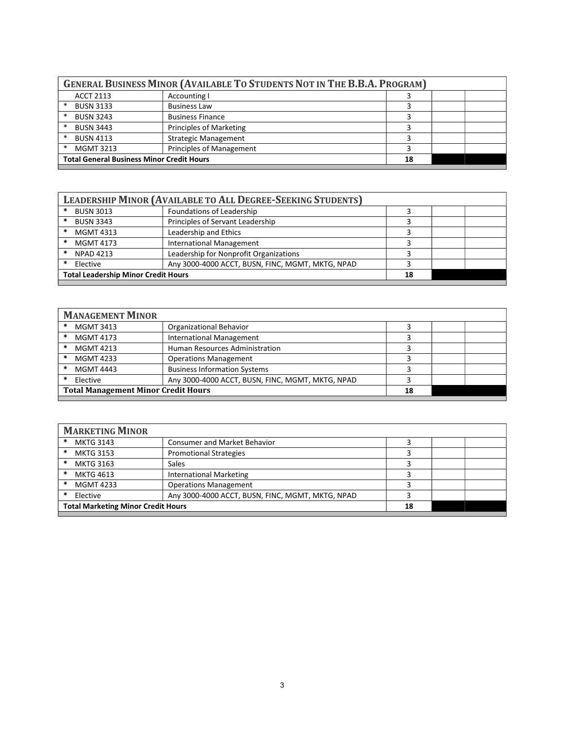| <b>GENERAL BUSINESS MINOR (AVAILABLE TO STUDENTS NOT IN THE B.B.A. PROGRAM)</b> |                                                        |  |  |  |
|---------------------------------------------------------------------------------|--------------------------------------------------------|--|--|--|
| <b>ACCT 2113</b>                                                                | Accounting I                                           |  |  |  |
| <b>BUSN 3133</b>                                                                | <b>Business Law</b>                                    |  |  |  |
| <b>BUSN 3243</b>                                                                | <b>Business Finance</b>                                |  |  |  |
| <b>BUSN 3443</b>                                                                | <b>Principles of Marketing</b>                         |  |  |  |
| <b>BUSN 4113</b>                                                                | <b>Strategic Management</b>                            |  |  |  |
| <b>MGMT 3213</b>                                                                | <b>Principles of Management</b>                        |  |  |  |
|                                                                                 | <b>Total General Business Minor Credit Hours</b><br>18 |  |  |  |
|                                                                                 |                                                        |  |  |  |

| <b>LEADERSHIP MINOR (AVAILABLE TO ALL DEGREE-SEEKING STUDENTS)</b> |                                                  |  |  |  |
|--------------------------------------------------------------------|--------------------------------------------------|--|--|--|
| <b>BUSN 3013</b>                                                   | Foundations of Leadership                        |  |  |  |
| <b>BUSN 3343</b>                                                   | Principles of Servant Leadership                 |  |  |  |
| <b>MGMT 4313</b>                                                   | Leadership and Ethics                            |  |  |  |
| <b>MGMT 4173</b>                                                   | <b>International Management</b>                  |  |  |  |
| <b>NPAD 4213</b>                                                   | Leadership for Nonprofit Organizations           |  |  |  |
| Elective                                                           | Any 3000-4000 ACCT, BUSN, FINC, MGMT, MKTG, NPAD |  |  |  |
| <b>Total Leadership Minor Credit Hours</b>                         |                                                  |  |  |  |
|                                                                    |                                                  |  |  |  |

| <b>MANAGEMENT MINOR</b> |                                                  |  |  |  |
|-------------------------|--------------------------------------------------|--|--|--|
| <b>MGMT 3413</b><br>*   | <b>Organizational Behavior</b>                   |  |  |  |
| <b>MGMT 4173</b><br>∗   | <b>International Management</b>                  |  |  |  |
| <b>MGMT 4213</b><br>∗   | Human Resources Administration                   |  |  |  |
| <b>MGMT 4233</b><br>*   | <b>Operations Management</b>                     |  |  |  |
| *<br><b>MGMT 4443</b>   | <b>Business Information Systems</b>              |  |  |  |
| Elective                | Any 3000-4000 ACCT, BUSN, FINC, MGMT, MKTG, NPAD |  |  |  |
|                         | <b>Total Management Minor Credit Hours</b><br>18 |  |  |  |
|                         |                                                  |  |  |  |

| <b>MARKETING MINOR</b>                    |                                                  |  |  |
|-------------------------------------------|--------------------------------------------------|--|--|
| <b>MKTG 3143</b><br>*                     | <b>Consumer and Market Behavior</b>              |  |  |
| <b>MKTG 3153</b><br>*                     | <b>Promotional Strategies</b>                    |  |  |
| <b>MKTG 3163</b>                          | Sales                                            |  |  |
| <b>MKTG 4613</b>                          | <b>International Marketing</b>                   |  |  |
| <b>MGMT 4233</b><br>*                     | <b>Operations Management</b>                     |  |  |
| Elective                                  | Any 3000-4000 ACCT, BUSN, FINC, MGMT, MKTG, NPAD |  |  |
| <b>Total Marketing Minor Credit Hours</b> |                                                  |  |  |